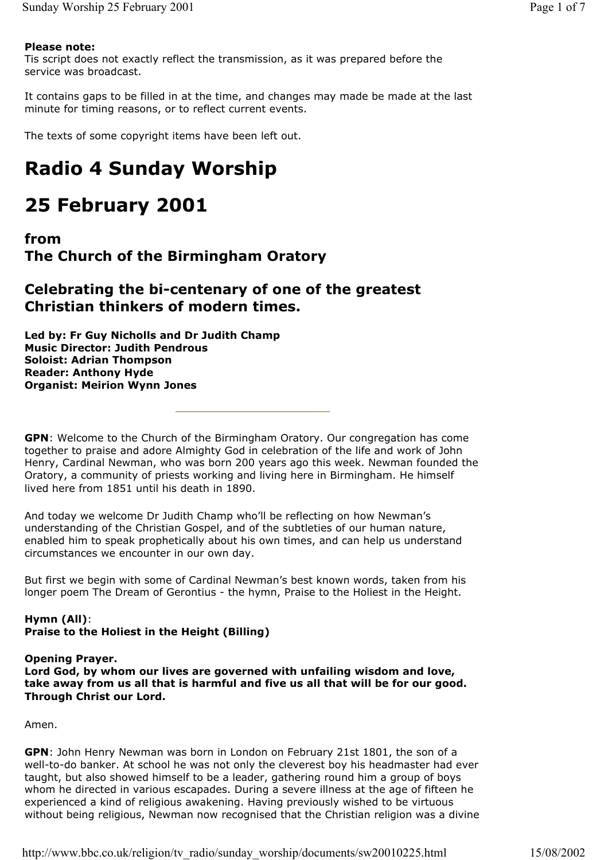### **Please note:**

Tis script does not exactly reflect the transmission, as it was prepared before the service was broadcast.

It contains gaps to be filled in at the time, and changes may made be made at the last minute for timing reasons, or to reflect current events.

The texts of some copyright items have been left out.

# **Radio 4 Sunday Worship**

# **25 February 2001**

## **from The Church of the Birmingham Oratory**

# **Celebrating the bi-centenary of one of the greatest Christian thinkers of modern times.**

**Led by: Fr Guy Nicholls and Dr Judith Champ Music Director: Judith Pendrous Soloist: Adrian Thompson Reader: Anthony Hyde Organist: Meirion Wynn Jones**

**GPN**: Welcome to the Church of the Birmingham Oratory. Our congregation has come together to praise and adore Almighty God in celebration of the life and work of John Henry, Cardinal Newman, who was born 200 years ago this week. Newman founded the Oratory, a community of priests working and living here in Birmingham. He himself lived here from 1851 until his death in 1890.

And today we welcome Dr Judith Champ who'll be reflecting on how Newman's understanding of the Christian Gospel, and of the subtleties of our human nature, enabled him to speak prophetically about his own times, and can help us understand circumstances we encounter in our own day.

But first we begin with some of Cardinal Newman's best known words, taken from his longer poem The Dream of Gerontius - the hymn, Praise to the Holiest in the Height.

### **Hymn (All)**: **Praise to the Holiest in the Height (Billing)**

## **Opening Prayer.**

**Lord God, by whom our lives are governed with unfailing wisdom and love, take away from us all that is harmful and five us all that will be for our good. Through Christ our Lord.**

Amen.

**GPN**: John Henry Newman was born in London on February 21st 1801, the son of a well-to-do banker. At school he was not only the cleverest boy his headmaster had ever taught, but also showed himself to be a leader, gathering round him a group of boys whom he directed in various escapades. During a severe illness at the age of fifteen he experienced a kind of religious awakening. Having previously wished to be virtuous without being religious, Newman now recognised that the Christian religion was a divine

http://www.bbc.co.uk/religion/tv\_radio/sunday\_worship/documents/sw20010225.html 15/08/2002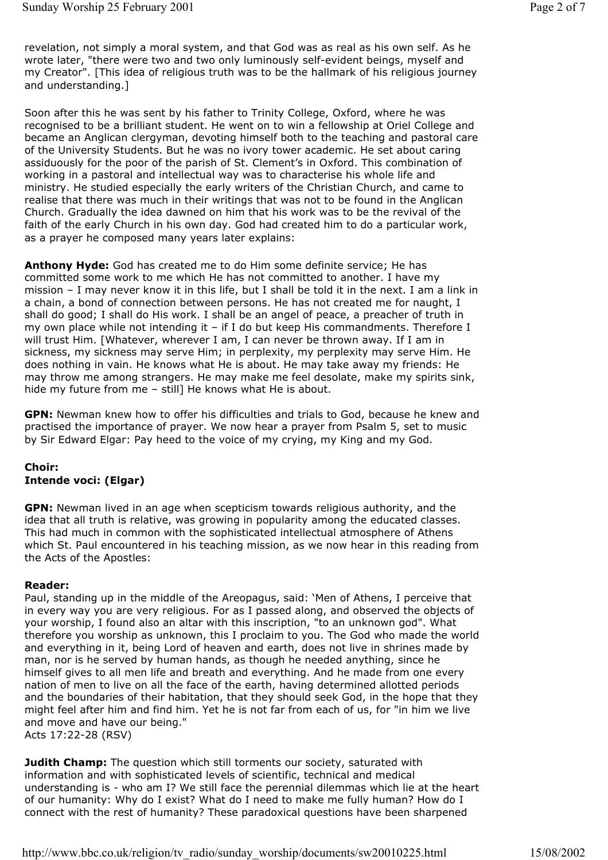revelation, not simply a moral system, and that God was as real as his own self. As he wrote later, "there were two and two only luminously self-evident beings, myself and my Creator". [This idea of religious truth was to be the hallmark of his religious journey and understanding.]

Soon after this he was sent by his father to Trinity College, Oxford, where he was recognised to be a brilliant student. He went on to win a fellowship at Oriel College and became an Anglican clergyman, devoting himself both to the teaching and pastoral care of the University Students. But he was no ivory tower academic. He set about caring assiduously for the poor of the parish of St. Clement's in Oxford. This combination of working in a pastoral and intellectual way was to characterise his whole life and ministry. He studied especially the early writers of the Christian Church, and came to realise that there was much in their writings that was not to be found in the Anglican Church. Gradually the idea dawned on him that his work was to be the revival of the faith of the early Church in his own day. God had created him to do a particular work, as a prayer he composed many years later explains:

**Anthony Hyde:** God has created me to do Him some definite service; He has committed some work to me which He has not committed to another. I have my mission – I may never know it in this life, but I shall be told it in the next. I am a link in a chain, a bond of connection between persons. He has not created me for naught, I shall do good; I shall do His work. I shall be an angel of peace, a preacher of truth in my own place while not intending it – if I do but keep His commandments. Therefore I will trust Him. [Whatever, wherever I am, I can never be thrown away. If I am in sickness, my sickness may serve Him; in perplexity, my perplexity may serve Him. He does nothing in vain. He knows what He is about. He may take away my friends: He may throw me among strangers. He may make me feel desolate, make my spirits sink, hide my future from me - still] He knows what He is about.

**GPN:** Newman knew how to offer his difficulties and trials to God, because he knew and practised the importance of prayer. We now hear a prayer from Psalm 5, set to music by Sir Edward Elgar: Pay heed to the voice of my crying, my King and my God.

#### **Choir: Intende voci: (Elgar)**

**GPN:** Newman lived in an age when scepticism towards religious authority, and the idea that all truth is relative, was growing in popularity among the educated classes. This had much in common with the sophisticated intellectual atmosphere of Athens which St. Paul encountered in his teaching mission, as we now hear in this reading from the Acts of the Apostles:

#### **Reader:**

Paul, standing up in the middle of the Areopagus, said: 'Men of Athens, I perceive that in every way you are very religious. For as I passed along, and observed the objects of your worship, I found also an altar with this inscription, "to an unknown god". What therefore you worship as unknown, this I proclaim to you. The God who made the world and everything in it, being Lord of heaven and earth, does not live in shrines made by man, nor is he served by human hands, as though he needed anything, since he himself gives to all men life and breath and everything. And he made from one every nation of men to live on all the face of the earth, having determined allotted periods and the boundaries of their habitation, that they should seek God, in the hope that they might feel after him and find him. Yet he is not far from each of us, for "in him we live and move and have our being." Acts 17:22-28 (RSV)

**Judith Champ:** The question which still torments our society, saturated with information and with sophisticated levels of scientific, technical and medical understanding is - who am I? We still face the perennial dilemmas which lie at the heart of our humanity: Why do I exist? What do I need to make me fully human? How do I connect with the rest of humanity? These paradoxical questions have been sharpened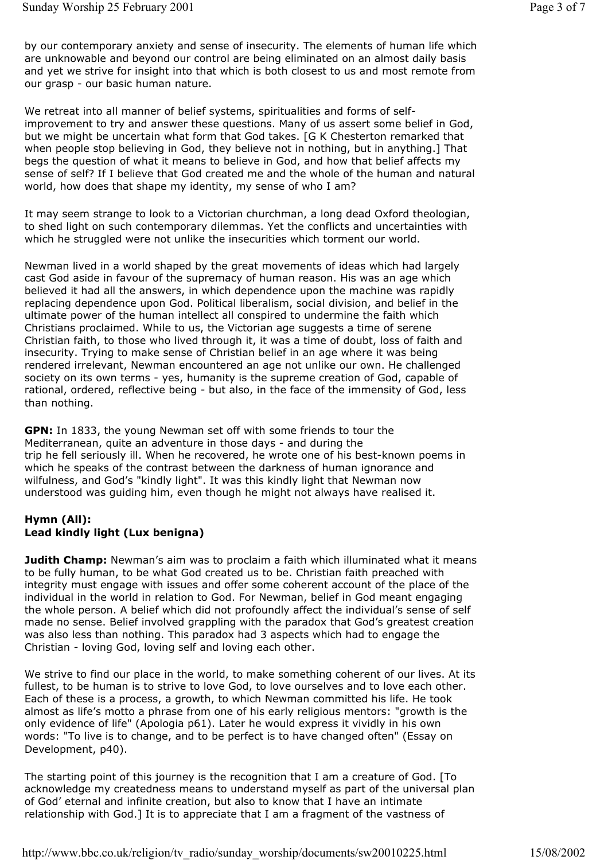by our contemporary anxiety and sense of insecurity. The elements of human life which are unknowable and beyond our control are being eliminated on an almost daily basis and yet we strive for insight into that which is both closest to us and most remote from our grasp - our basic human nature.

We retreat into all manner of belief systems, spiritualities and forms of selfimprovement to try and answer these questions. Many of us assert some belief in God, but we might be uncertain what form that God takes. [G K Chesterton remarked that when people stop believing in God, they believe not in nothing, but in anything.] That begs the question of what it means to believe in God, and how that belief affects my sense of self? If I believe that God created me and the whole of the human and natural world, how does that shape my identity, my sense of who I am?

It may seem strange to look to a Victorian churchman, a long dead Oxford theologian, to shed light on such contemporary dilemmas. Yet the conflicts and uncertainties with which he struggled were not unlike the insecurities which torment our world.

Newman lived in a world shaped by the great movements of ideas which had largely cast God aside in favour of the supremacy of human reason. His was an age which believed it had all the answers, in which dependence upon the machine was rapidly replacing dependence upon God. Political liberalism, social division, and belief in the ultimate power of the human intellect all conspired to undermine the faith which Christians proclaimed. While to us, the Victorian age suggests a time of serene Christian faith, to those who lived through it, it was a time of doubt, loss of faith and insecurity. Trying to make sense of Christian belief in an age where it was being rendered irrelevant, Newman encountered an age not unlike our own. He challenged society on its own terms - yes, humanity is the supreme creation of God, capable of rational, ordered, reflective being - but also, in the face of the immensity of God, less than nothing.

**GPN:** In 1833, the young Newman set off with some friends to tour the Mediterranean, quite an adventure in those days - and during the trip he fell seriously ill. When he recovered, he wrote one of his best-known poems in which he speaks of the contrast between the darkness of human ignorance and wilfulness, and God's "kindly light". It was this kindly light that Newman now understood was guiding him, even though he might not always have realised it.

#### **Hymn (All): Lead kindly light (Lux benigna)**

**Judith Champ:** Newman's aim was to proclaim a faith which illuminated what it means to be fully human, to be what God created us to be. Christian faith preached with integrity must engage with issues and offer some coherent account of the place of the individual in the world in relation to God. For Newman, belief in God meant engaging the whole person. A belief which did not profoundly affect the individual's sense of self made no sense. Belief involved grappling with the paradox that God's greatest creation was also less than nothing. This paradox had 3 aspects which had to engage the Christian - loving God, loving self and loving each other.

We strive to find our place in the world, to make something coherent of our lives. At its fullest, to be human is to strive to love God, to love ourselves and to love each other. Each of these is a process, a growth, to which Newman committed his life. He took almost as life's motto a phrase from one of his early religious mentors: "growth is the only evidence of life" (Apologia p61). Later he would express it vividly in his own words: "To live is to change, and to be perfect is to have changed often" (Essay on Development, p40).

The starting point of this journey is the recognition that I am a creature of God. [To acknowledge my createdness means to understand myself as part of the universal plan of God' eternal and infinite creation, but also to know that I have an intimate relationship with God.] It is to appreciate that I am a fragment of the vastness of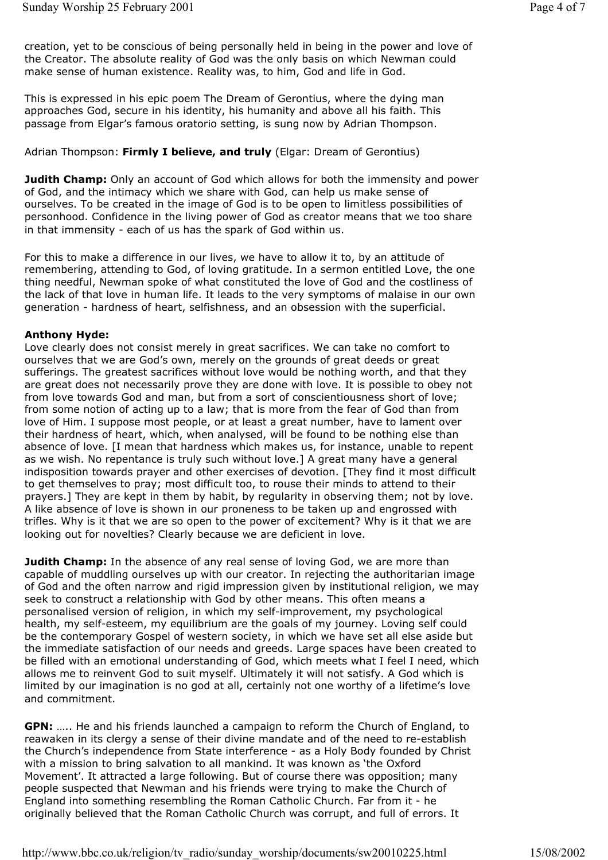creation, yet to be conscious of being personally held in being in the power and love of the Creator. The absolute reality of God was the only basis on which Newman could make sense of human existence. Reality was, to him, God and life in God.

This is expressed in his epic poem The Dream of Gerontius, where the dying man approaches God, secure in his identity, his humanity and above all his faith. This passage from Elgar's famous oratorio setting, is sung now by Adrian Thompson.

#### Adrian Thompson: **Firmly I believe, and truly** (Elgar: Dream of Gerontius)

**Judith Champ:** Only an account of God which allows for both the immensity and power of God, and the intimacy which we share with God, can help us make sense of ourselves. To be created in the image of God is to be open to limitless possibilities of personhood. Confidence in the living power of God as creator means that we too share in that immensity - each of us has the spark of God within us.

For this to make a difference in our lives, we have to allow it to, by an attitude of remembering, attending to God, of loving gratitude. In a sermon entitled Love, the one thing needful, Newman spoke of what constituted the love of God and the costliness of the lack of that love in human life. It leads to the very symptoms of malaise in our own generation - hardness of heart, selfishness, and an obsession with the superficial.

#### **Anthony Hyde:**

Love clearly does not consist merely in great sacrifices. We can take no comfort to ourselves that we are God's own, merely on the grounds of great deeds or great sufferings. The greatest sacrifices without love would be nothing worth, and that they are great does not necessarily prove they are done with love. It is possible to obey not from love towards God and man, but from a sort of conscientiousness short of love; from some notion of acting up to a law; that is more from the fear of God than from love of Him. I suppose most people, or at least a great number, have to lament over their hardness of heart, which, when analysed, will be found to be nothing else than absence of love. [I mean that hardness which makes us, for instance, unable to repent as we wish. No repentance is truly such without love.] A great many have a general indisposition towards prayer and other exercises of devotion. [They find it most difficult to get themselves to pray; most difficult too, to rouse their minds to attend to their prayers.] They are kept in them by habit, by regularity in observing them; not by love. A like absence of love is shown in our proneness to be taken up and engrossed with trifles. Why is it that we are so open to the power of excitement? Why is it that we are looking out for novelties? Clearly because we are deficient in love.

**Judith Champ:** In the absence of any real sense of loving God, we are more than capable of muddling ourselves up with our creator. In rejecting the authoritarian image of God and the often narrow and rigid impression given by institutional religion, we may seek to construct a relationship with God by other means. This often means a personalised version of religion, in which my self-improvement, my psychological health, my self-esteem, my equilibrium are the goals of my journey. Loving self could be the contemporary Gospel of western society, in which we have set all else aside but the immediate satisfaction of our needs and greeds. Large spaces have been created to be filled with an emotional understanding of God, which meets what I feel I need, which allows me to reinvent God to suit myself. Ultimately it will not satisfy. A God which is limited by our imagination is no god at all, certainly not one worthy of a lifetime's love and commitment.

**GPN:** ….. He and his friends launched a campaign to reform the Church of England, to reawaken in its clergy a sense of their divine mandate and of the need to re-establish the Church's independence from State interference - as a Holy Body founded by Christ with a mission to bring salvation to all mankind. It was known as 'the Oxford Movement'. It attracted a large following. But of course there was opposition; many people suspected that Newman and his friends were trying to make the Church of England into something resembling the Roman Catholic Church. Far from it - he originally believed that the Roman Catholic Church was corrupt, and full of errors. It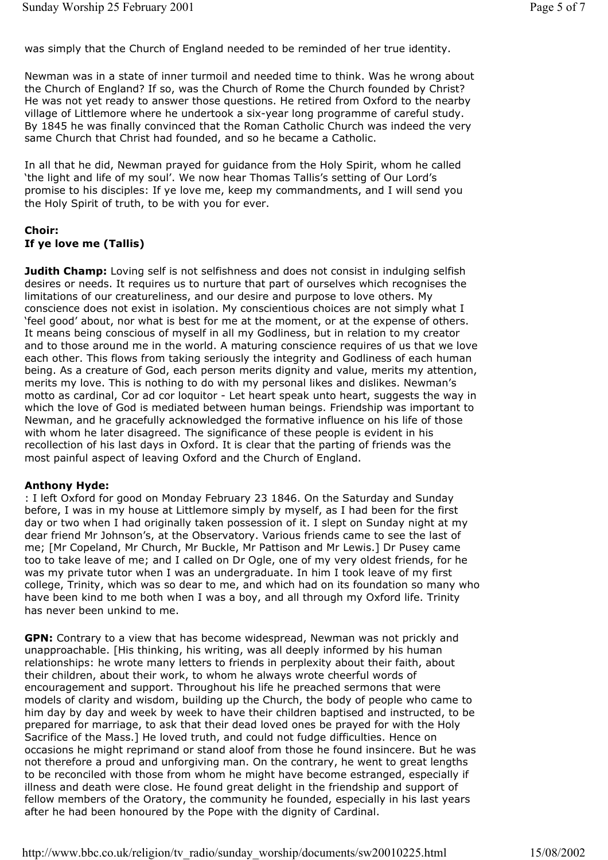was simply that the Church of England needed to be reminded of her true identity.

Newman was in a state of inner turmoil and needed time to think. Was he wrong about the Church of England? If so, was the Church of Rome the Church founded by Christ? He was not yet ready to answer those questions. He retired from Oxford to the nearby village of Littlemore where he undertook a six-year long programme of careful study. By 1845 he was finally convinced that the Roman Catholic Church was indeed the very same Church that Christ had founded, and so he became a Catholic.

In all that he did, Newman prayed for guidance from the Holy Spirit, whom he called 'the light and life of my soul'. We now hear Thomas Tallis's setting of Our Lord's promise to his disciples: If ye love me, keep my commandments, and I will send you the Holy Spirit of truth, to be with you for ever.

#### **Choir: If ye love me (Tallis)**

**Judith Champ:** Loving self is not selfishness and does not consist in indulging selfish desires or needs. It requires us to nurture that part of ourselves which recognises the limitations of our creatureliness, and our desire and purpose to love others. My conscience does not exist in isolation. My conscientious choices are not simply what I 'feel good' about, nor what is best for me at the moment, or at the expense of others. It means being conscious of myself in all my Godliness, but in relation to my creator and to those around me in the world. A maturing conscience requires of us that we love each other. This flows from taking seriously the integrity and Godliness of each human being. As a creature of God, each person merits dignity and value, merits my attention, merits my love. This is nothing to do with my personal likes and dislikes. Newman's motto as cardinal, Cor ad cor loquitor - Let heart speak unto heart, suggests the way in which the love of God is mediated between human beings. Friendship was important to Newman, and he gracefully acknowledged the formative influence on his life of those with whom he later disagreed. The significance of these people is evident in his recollection of his last days in Oxford. It is clear that the parting of friends was the most painful aspect of leaving Oxford and the Church of England.

#### **Anthony Hyde:**

: I left Oxford for good on Monday February 23 1846. On the Saturday and Sunday before, I was in my house at Littlemore simply by myself, as I had been for the first day or two when I had originally taken possession of it. I slept on Sunday night at my dear friend Mr Johnson's, at the Observatory. Various friends came to see the last of me; [Mr Copeland, Mr Church, Mr Buckle, Mr Pattison and Mr Lewis.] Dr Pusey came too to take leave of me; and I called on Dr Ogle, one of my very oldest friends, for he was my private tutor when I was an undergraduate. In him I took leave of my first college, Trinity, which was so dear to me, and which had on its foundation so many who have been kind to me both when I was a boy, and all through my Oxford life. Trinity has never been unkind to me.

**GPN:** Contrary to a view that has become widespread, Newman was not prickly and unapproachable. [His thinking, his writing, was all deeply informed by his human relationships: he wrote many letters to friends in perplexity about their faith, about their children, about their work, to whom he always wrote cheerful words of encouragement and support. Throughout his life he preached sermons that were models of clarity and wisdom, building up the Church, the body of people who came to him day by day and week by week to have their children baptised and instructed, to be prepared for marriage, to ask that their dead loved ones be prayed for with the Holy Sacrifice of the Mass.] He loved truth, and could not fudge difficulties. Hence on occasions he might reprimand or stand aloof from those he found insincere. But he was not therefore a proud and unforgiving man. On the contrary, he went to great lengths to be reconciled with those from whom he might have become estranged, especially if illness and death were close. He found great delight in the friendship and support of fellow members of the Oratory, the community he founded, especially in his last years after he had been honoured by the Pope with the dignity of Cardinal.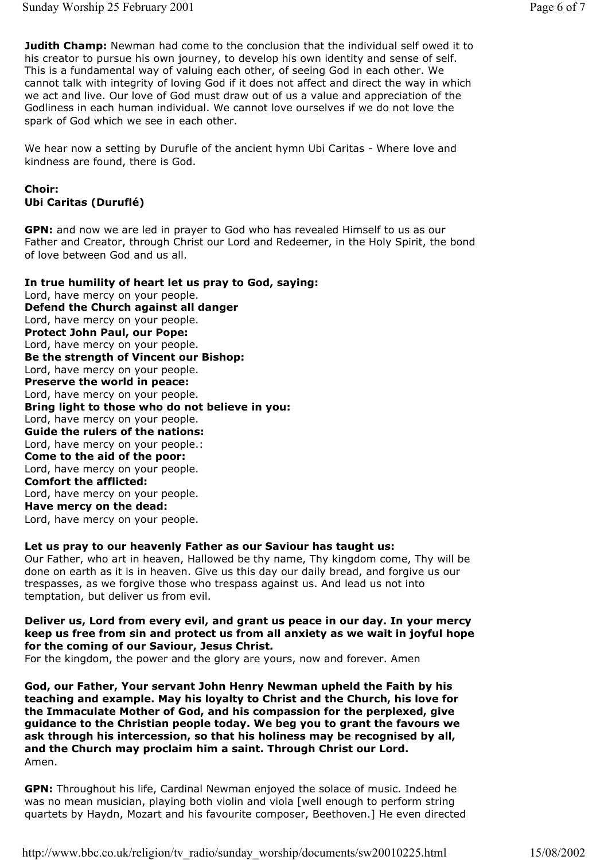**Judith Champ:** Newman had come to the conclusion that the individual self owed it to his creator to pursue his own journey, to develop his own identity and sense of self. This is a fundamental way of valuing each other, of seeing God in each other. We cannot talk with integrity of loving God if it does not affect and direct the way in which we act and live. Our love of God must draw out of us a value and appreciation of the Godliness in each human individual. We cannot love ourselves if we do not love the spark of God which we see in each other.

We hear now a setting by Durufle of the ancient hymn Ubi Caritas - Where love and kindness are found, there is God.

#### **Choir: Ubi Caritas (Duruflé)**

**GPN:** and now we are led in prayer to God who has revealed Himself to us as our Father and Creator, through Christ our Lord and Redeemer, in the Holy Spirit, the bond of love between God and us all.

**In true humility of heart let us pray to God, saying:**  Lord, have mercy on your people. **Defend the Church against all danger** Lord, have mercy on your people. **Protect John Paul, our Pope:** Lord, have mercy on your people. **Be the strength of Vincent our Bishop:** Lord, have mercy on your people. **Preserve the world in peace:** Lord, have mercy on your people. **Bring light to those who do not believe in you:** Lord, have mercy on your people. **Guide the rulers of the nations:** Lord, have mercy on your people.: **Come to the aid of the poor:** Lord, have mercy on your people. **Comfort the afflicted:** Lord, have mercy on your people. **Have mercy on the dead:**  Lord, have mercy on your people.

#### **Let us pray to our heavenly Father as our Saviour has taught us:**

Our Father, who art in heaven, Hallowed be thy name, Thy kingdom come, Thy will be done on earth as it is in heaven. Give us this day our daily bread, and forgive us our trespasses, as we forgive those who trespass against us. And lead us not into temptation, but deliver us from evil.

#### **Deliver us, Lord from every evil, and grant us peace in our day. In your mercy keep us free from sin and protect us from all anxiety as we wait in joyful hope for the coming of our Saviour, Jesus Christ.**

For the kingdom, the power and the glory are yours, now and forever. Amen

**God, our Father, Your servant John Henry Newman upheld the Faith by his teaching and example. May his loyalty to Christ and the Church, his love for the Immaculate Mother of God, and his compassion for the perplexed, give guidance to the Christian people today. We beg you to grant the favours we ask through his intercession, so that his holiness may be recognised by all, and the Church may proclaim him a saint. Through Christ our Lord.** Amen.

**GPN:** Throughout his life, Cardinal Newman enjoyed the solace of music. Indeed he was no mean musician, playing both violin and viola [well enough to perform string quartets by Haydn, Mozart and his favourite composer, Beethoven.] He even directed

http://www.bbc.co.uk/religion/tv\_radio/sunday\_worship/documents/sw20010225.html 15/08/2002